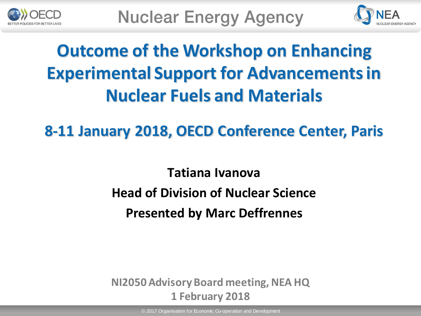



# **Outcome of the Workshop on Enhancing Experimental Support for Advancements in Nuclear Fuels and Materials**

**8-11 January 2018, OECD Conference Center, Paris** 

**Tatiana Ivanova Head of Division of Nuclear Science Presented by Marc Deffrennes**

**NI2050 Advisory Board meeting, NEA HQ 1 February 2018**

© 2017 Organisation for Economic Co-operation and Development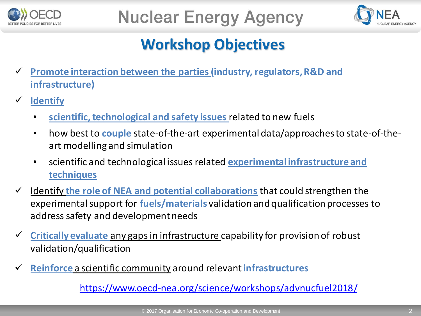



#### **Workshop Objectives**

- **Promote interaction between the parties (industry, regulators, R&D and infrastructure)**
- **Identify**
	- **scientific, technological and safety issues** related to new fuels
	- how best to **couple** state-of-the-art experimental data/approaches to state-of-theart modelling and simulation
	- scientific and technological issues related **experimental infrastructure and techniques**
- Identify **the role of NEA and potential collaborations** that could strengthen the experimental support for **fuels/materials** validation and qualification processes to address safety and development needs
- **Critically evaluate** any gaps in infrastructure capability for provision of robust validation/qualification
- **Reinforce** a scientific community around relevant **infrastructures**

<https://www.oecd-nea.org/science/workshops/advnucfuel2018/>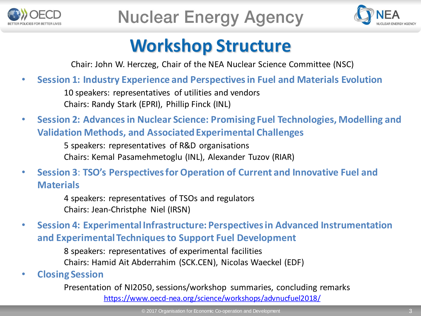



### **Workshop Structure**

Chair: John W. Herczeg, Chair of the NEA Nuclear Science Committee (NSC)

• **Session 1: Industry Experience and Perspectives in Fuel and Materials Evolution**

10 speakers: representatives of utilities and vendors Chairs: Randy Stark (EPRI), Phillip Finck (INL)

• **Session 2: Advances in Nuclear Science: Promising Fuel Technologies, Modelling and Validation Methods, and Associated Experimental Challenges**

> 5 speakers: representatives of R&D organisations Chairs: Kemal Pasamehmetoglu (INL), Alexander Tuzov (RIAR)

• **Session 3**: **TSO's Perspectives for Operation of Current and Innovative Fuel and Materials**

> 4 speakers: representatives of TSOs and regulators Chairs: Jean-Christphe Niel (IRSN)

• **Session 4: Experimental Infrastructure: Perspectives in Advanced Instrumentation and Experimental Techniques to Support Fuel Development**

> 8 speakers: representatives of experimental facilities Chairs: Hamid Ait Abderrahim (SCK.CEN), Nicolas Waeckel (EDF)

• **Closing Session**

Presentation of NI2050, sessions/workshop summaries, concluding remarks <https://www.oecd-nea.org/science/workshops/advnucfuel2018/>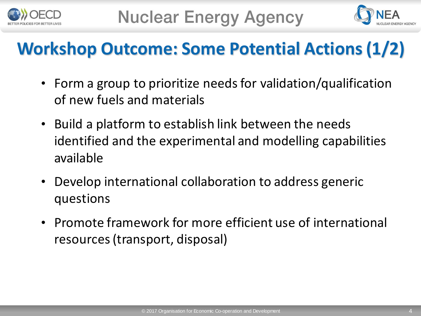



## **Workshop Outcome: Some Potential Actions (1/2)**

- Form a group to prioritize needs for validation/qualification of new fuels and materials
- Build a platform to establish link between the needs identified and the experimental and modelling capabilities available
- Develop international collaboration to address generic questions
- Promote framework for more efficient use of international resources (transport, disposal)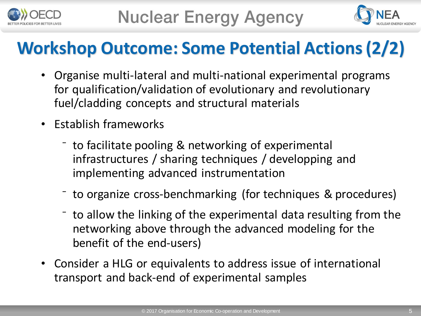



### **Workshop Outcome: Some Potential Actions (2/2)**

- Organise multi-lateral and multi-national experimental programs for qualification/validation of evolutionary and revolutionary fuel/cladding concepts and structural materials
- Establish frameworks
	- ⁻ to facilitate pooling & networking of experimental infrastructures / sharing techniques / developping and implementing advanced instrumentation
	- ⁻ to organize cross-benchmarking (for techniques & procedures)
	- ⁻ to allow the linking of the experimental data resulting from the networking above through the advanced modeling for the benefit of the end-users)
- Consider a HLG or equivalents to address issue of international transport and back-end of experimental samples